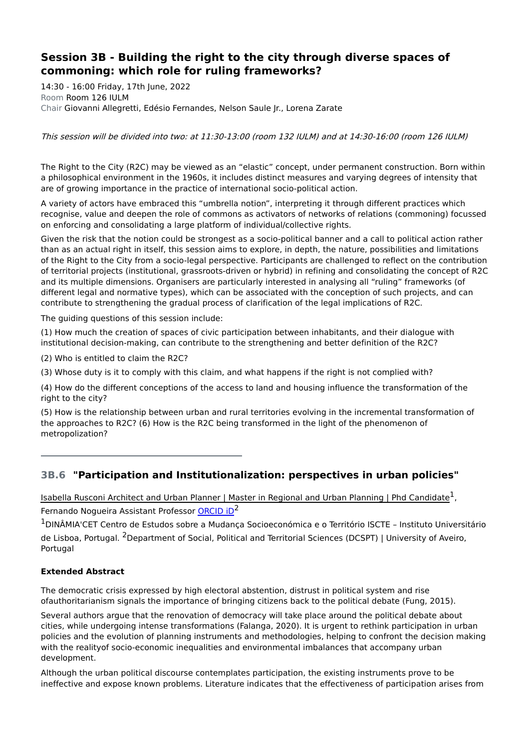# **Session 3B - Building the right to the city through diverse spaces of commoning: which role for ruling frameworks?**

14:30 - 16:00 Friday, 17th June, 2022 Room Room 126 IULM Chair Giovanni Allegretti, Edésio Fernandes, Nelson Saule Jr., Lorena Zarate

This session will be divided into two: at 11:30-13:00 (room 132 IULM) and at 14:30-16:00 (room 126 IULM)

The Right to the City (R2C) may be viewed as an "elastic" concept, under permanent construction. Born within a philosophical environment in the 1960s, it includes distinct measures and varying degrees of intensity that are of growing importance in the practice of international socio-political action.

A variety of actors have embraced this "umbrella notion", interpreting it through different practices which recognise, value and deepen the role of commons as activators of networks of relations (commoning) focussed on enforcing and consolidating a large platform of individual/collective rights.

Given the risk that the notion could be strongest as a socio-political banner and a call to political action rather than as an actual right in itself, this session aims to explore, in depth, the nature, possibilities and limitations of the Right to the City from a socio-legal perspective. Participants are challenged to reflect on the contribution of territorial projects (institutional, grassroots-driven or hybrid) in refining and consolidating the concept of R2C and its multiple dimensions. Organisers are particularly interested in analysing all "ruling" frameworks (of different legal and normative types), which can be associated with the conception of such projects, and can contribute to strengthening the gradual process of clarification of the legal implications of R2C.

The quiding questions of this session include:

(1) How much the creation of spaces of civic participation between inhabitants, and their dialogue with institutional decision-making, can contribute to the strengthening and better definition of the R2C?

(2) Who is entitled to claim the R2C?

(3) Whose duty is it to comply with this claim, and what happens if the right is not complied with?

(4) How do the different conceptions of the access to land and housing influence the transformation of the right to the city?

(5) How is the relationship between urban and rural territories evolving in the incremental transformation of the approaches to R2C? (6) How is the R2C being transformed in the light of the phenomenon of metropolization?

## **3B.6 "Participation and Institutionalization: perspectives in urban policies"**

Isabella Rusconi Architect and Urban Planner | Master in Regional and Urban Planning | Phd Candidate<sup>1</sup>, Fernando Nogueira Assistant Professor **[ORCID](https://orcid.org/0000-0002-5820-3607) iD<sup>2</sup>** 

<sup>1</sup>DINÂMIA'CET Centro de Estudos sobre a Mudança Socioeconómica e o Território ISCTE – Instituto Universitário de Lisboa, Portugal. <sup>2</sup>Department of Social, Political and Territorial Sciences (DCSPT) | University of Aveiro, Portugal

### **Extended Abstract**

The democratic crisis expressed by high electoral abstention, distrust in political system and rise ofauthoritarianism signals the importance of bringing citizens back to the political debate (Fung, 2015).

Several authors argue that the renovation of democracy will take place around the political debate about cities, while undergoing intense transformations (Falanga, 2020). It is urgent to rethink participation in urban policies and the evolution of planning instruments and methodologies, helping to confront the decision making with the realityof socio-economic inequalities and environmental imbalances that accompany urban development.

Although the urban political discourse contemplates participation, the existing instruments prove to be ineffective and expose known problems. Literature indicates that the effectiveness of participation arises from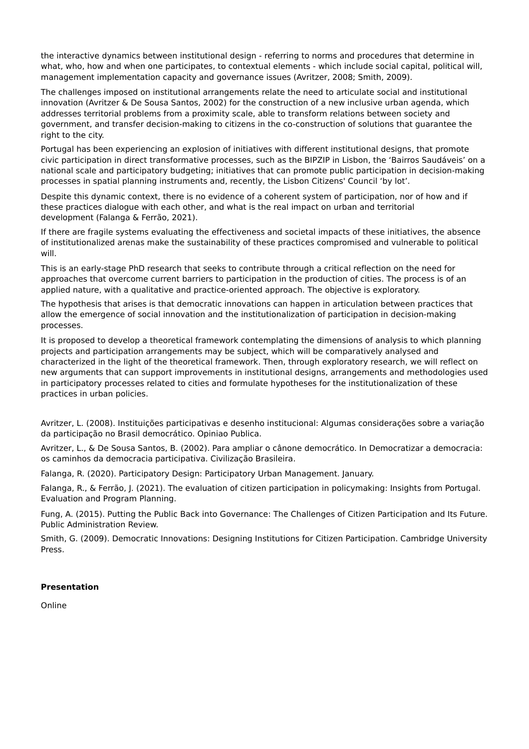the interactive dynamics between institutional design - referring to norms and procedures that determine in what, who, how and when one participates, to contextual elements - which include social capital, political will, management implementation capacity and governance issues (Avritzer, 2008; Smith, 2009).

The challenges imposed on institutional arrangements relate the need to articulate social and institutional innovation (Avritzer & De Sousa Santos, 2002) for the construction of a new inclusive urban agenda, which addresses territorial problems from a proximity scale, able to transform relations between society and government, and transfer decision-making to citizens in the co-construction of solutions that guarantee the right to the city.

Portugal has been experiencing an explosion of initiatives with different institutional designs, that promote civic participation in direct transformative processes, such as the BIPZIP in Lisbon, the 'Bairros Saudáveis' on a national scale and participatory budgeting; initiatives that can promote public participation in decision-making processes in spatial planning instruments and, recently, the Lisbon Citizens' Council 'by lot'.

Despite this dynamic context, there is no evidence of a coherent system of participation, nor of how and if these practices dialogue with each other, and what is the real impact on urban and territorial development (Falanga & Ferrão, 2021).

If there are fragile systems evaluating the effectiveness and societal impacts of these initiatives, the absence of institutionalized arenas make the sustainability of these practices compromised and vulnerable to political will.

This is an early-stage PhD research that seeks to contribute through a critical reflection on the need for approaches that overcome current barriers to participation in the production of cities. The process is of an applied nature, with a qualitative and practice-oriented approach. The objective is exploratory.

The hypothesis that arises is that democratic innovations can happen in articulation between practices that allow the emergence of social innovation and the institutionalization of participation in decision-making processes.

It is proposed to develop a theoretical framework contemplating the dimensions of analysis to which planning projects and participation arrangements may be subject, which will be comparatively analysed and characterized in the light of the theoretical framework. Then, through exploratory research, we will reflect on new arguments that can support improvements in institutional designs, arrangements and methodologies used in participatory processes related to cities and formulate hypotheses for the institutionalization of these practices in urban policies.

Avritzer, L. (2008). Instituições participativas e desenho institucional: Algumas considerações sobre a variação da participação no Brasil democrático. Opiniao Publica.

Avritzer, L., & De Sousa Santos, B. (2002). Para ampliar o cânone democrático. In Democratizar a democracia: os caminhos da democracia participativa. Civilização Brasileira.

Falanga, R. (2020). Participatory Design: Participatory Urban Management. January.

Falanga, R., & Ferrão, J. (2021). The evaluation of citizen participation in policymaking: Insights from Portugal. Evaluation and Program Planning.

Fung, A. (2015). Putting the Public Back into Governance: The Challenges of Citizen Participation and Its Future. Public Administration Review.

Smith, G. (2009). Democratic Innovations: Designing Institutions for Citizen Participation. Cambridge University Press.

#### **Presentation**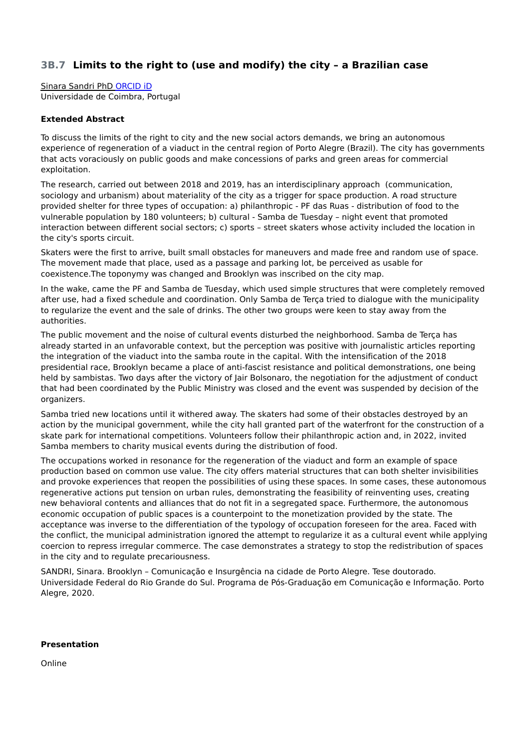## **3B.7 Limits to the right to (use and modify) the city – a Brazilian case**

Sinara Sandri PhD [ORCID](https://orcid.org/0000-0003-1748-5465) iD Universidade de Coimbra, Portugal

#### **Extended Abstract**

To discuss the limits of the right to city and the new social actors demands, we bring an autonomous experience of regeneration of a viaduct in the central region of Porto Alegre (Brazil). The city has governments that acts voraciously on public goods and make concessions of parks and green areas for commercial exploitation.

The research, carried out between 2018 and 2019, has an interdisciplinary approach (communication, sociology and urbanism) about materiality of the city as a trigger for space production. A road structure provided shelter for three types of occupation: a) philanthropic - PF das Ruas - distribution of food to the vulnerable population by 180 volunteers; b) cultural - Samba de Tuesday – night event that promoted interaction between different social sectors; c) sports – street skaters whose activity included the location in the city's sports circuit.

Skaters were the first to arrive, built small obstacles for maneuvers and made free and random use of space. The movement made that place, used as a passage and parking lot, be perceived as usable for coexistence.The toponymy was changed and Brooklyn was inscribed on the city map.

In the wake, came the PF and Samba de Tuesday, which used simple structures that were completely removed after use, had a fixed schedule and coordination. Only Samba de Terça tried to dialogue with the municipality to regularize the event and the sale of drinks. The other two groups were keen to stay away from the authorities.

The public movement and the noise of cultural events disturbed the neighborhood. Samba de Terça has already started in an unfavorable context, but the perception was positive with journalistic articles reporting the integration of the viaduct into the samba route in the capital. With the intensification of the 2018 presidential race, Brooklyn became a place of anti-fascist resistance and political demonstrations, one being held by sambistas. Two days after the victory of Jair Bolsonaro, the negotiation for the adjustment of conduct that had been coordinated by the Public Ministry was closed and the event was suspended by decision of the organizers.

Samba tried new locations until it withered away. The skaters had some of their obstacles destroyed by an action by the municipal government, while the city hall granted part of the waterfront for the construction of a skate park for international competitions. Volunteers follow their philanthropic action and, in 2022, invited Samba members to charity musical events during the distribution of food.

The occupations worked in resonance for the regeneration of the viaduct and form an example of space production based on common use value. The city offers material structures that can both shelter invisibilities and provoke experiences that reopen the possibilities of using these spaces. In some cases, these autonomous regenerative actions put tension on urban rules, demonstrating the feasibility of reinventing uses, creating new behavioral contents and alliances that do not fit in a segregated space. Furthermore, the autonomous economic occupation of public spaces is a counterpoint to the monetization provided by the state. The acceptance was inverse to the differentiation of the typology of occupation foreseen for the area. Faced with the conflict, the municipal administration ignored the attempt to regularize it as a cultural event while applying coercion to repress irregular commerce. The case demonstrates a strategy to stop the redistribution of spaces in the city and to regulate precariousness.

SANDRI, Sinara. Brooklyn – Comunicação e Insurgência na cidade de Porto Alegre. Tese doutorado. Universidade Federal do Rio Grande do Sul. Programa de Pós-Graduação em Comunicação e Informação. Porto Alegre, 2020.

#### **Presentation**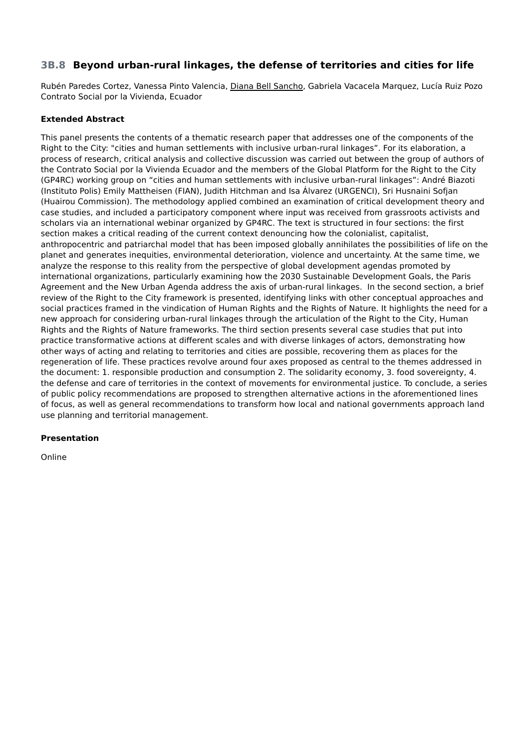## **3B.8 Beyond urban-rural linkages, the defense of territories and cities for life**

Rubén Paredes Cortez, Vanessa Pinto Valencia, Diana Bell Sancho, Gabriela Vacacela Marquez, Lucía Ruiz Pozo Contrato Social por la Vivienda, Ecuador

### **Extended Abstract**

This panel presents the contents of a thematic research paper that addresses one of the components of the Right to the City: "cities and human settlements with inclusive urban-rural linkages". For its elaboration, a process of research, critical analysis and collective discussion was carried out between the group of authors of the Contrato Social por la Vivienda Ecuador and the members of the Global Platform for the Right to the City (GP4RC) working group on "cities and human settlements with inclusive urban-rural linkages": André Biazoti (Instituto Polis) Emily Mattheisen (FIAN), Judith Hitchman and Isa Álvarez (URGENCI), Sri Husnaini Sofjan (Huairou Commission). The methodology applied combined an examination of critical development theory and case studies, and included a participatory component where input was received from grassroots activists and scholars via an international webinar organized by GP4RC. The text is structured in four sections: the first section makes a critical reading of the current context denouncing how the colonialist, capitalist, anthropocentric and patriarchal model that has been imposed globally annihilates the possibilities of life on the planet and generates inequities, environmental deterioration, violence and uncertainty. At the same time, we analyze the response to this reality from the perspective of global development agendas promoted by international organizations, particularly examining how the 2030 Sustainable Development Goals, the Paris Agreement and the New Urban Agenda address the axis of urban-rural linkages. In the second section, a brief review of the Right to the City framework is presented, identifying links with other conceptual approaches and social practices framed in the vindication of Human Rights and the Rights of Nature. It highlights the need for a new approach for considering urban-rural linkages through the articulation of the Right to the City, Human Rights and the Rights of Nature frameworks. The third section presents several case studies that put into practice transformative actions at different scales and with diverse linkages of actors, demonstrating how other ways of acting and relating to territories and cities are possible, recovering them as places for the regeneration of life. These practices revolve around four axes proposed as central to the themes addressed in the document: 1. responsible production and consumption 2. The solidarity economy, 3. food sovereignty, 4. the defense and care of territories in the context of movements for environmental justice. To conclude, a series of public policy recommendations are proposed to strengthen alternative actions in the aforementioned lines of focus, as well as general recommendations to transform how local and national governments approach land use planning and territorial management.

### **Presentation**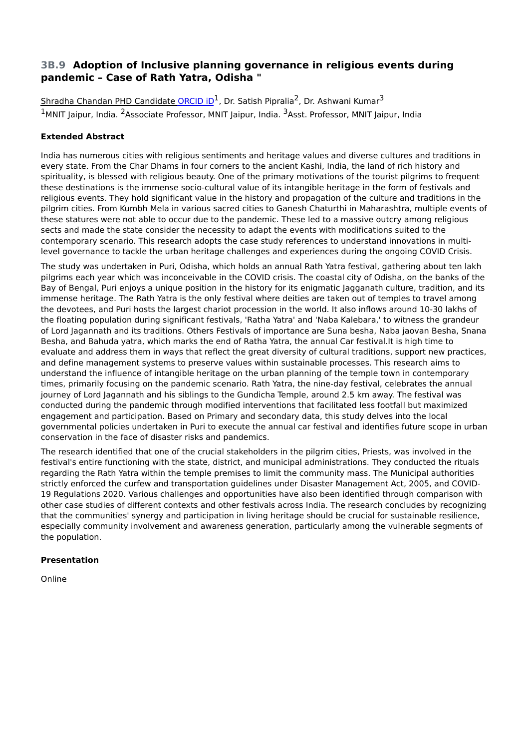## **3B.9 Adoption of Inclusive planning governance in religious events during pandemic – Case of Rath Yatra, Odisha "**

Shradha Chandan PHD Candidate [ORCID](https://orcid.org/0000-0002-3600-5423) iD<sup>1</sup>, Dr. Satish Pipralia<sup>2</sup>, Dr. Ashwani Kumar<sup>3</sup> <sup>1</sup>MNIT Jaipur, India. <sup>2</sup>Associate Professor, MNIT Jaipur, India. <sup>3</sup>Asst. Professor, MNIT Jaipur, India

### **Extended Abstract**

India has numerous cities with religious sentiments and heritage values and diverse cultures and traditions in every state. From the Char Dhams in four corners to the ancient Kashi, India, the land of rich history and spirituality, is blessed with religious beauty. One of the primary motivations of the tourist pilgrims to frequent these destinations is the immense socio-cultural value of its intangible heritage in the form of festivals and religious events. They hold significant value in the history and propagation of the culture and traditions in the pilgrim cities. From Kumbh Mela in various sacred cities to Ganesh Chaturthi in Maharashtra, multiple events of these statures were not able to occur due to the pandemic. These led to a massive outcry among religious sects and made the state consider the necessity to adapt the events with modifications suited to the contemporary scenario. This research adopts the case study references to understand innovations in multilevel governance to tackle the urban heritage challenges and experiences during the ongoing COVID Crisis.

The study was undertaken in Puri, Odisha, which holds an annual Rath Yatra festival, gathering about ten lakh pilgrims each year which was inconceivable in the COVID crisis. The coastal city of Odisha, on the banks of the Bay of Bengal, Puri enjoys a unique position in the history for its enigmatic Jagganath culture, tradition, and its immense heritage. The Rath Yatra is the only festival where deities are taken out of temples to travel among the devotees, and Puri hosts the largest chariot procession in the world. It also inflows around 10-30 lakhs of the floating population during significant festivals, 'Ratha Yatra' and 'Naba Kalebara,' to witness the grandeur of Lord Jagannath and its traditions. Others Festivals of importance are Suna besha, Naba jaovan Besha, Snana Besha, and Bahuda yatra, which marks the end of Ratha Yatra, the annual Car festival.It is high time to evaluate and address them in ways that reflect the great diversity of cultural traditions, support new practices, and define management systems to preserve values within sustainable processes. This research aims to understand the influence of intangible heritage on the urban planning of the temple town in contemporary times, primarily focusing on the pandemic scenario. Rath Yatra, the nine-day festival, celebrates the annual journey of Lord Jagannath and his siblings to the Gundicha Temple, around 2.5 km away. The festival was conducted during the pandemic through modified interventions that facilitated less footfall but maximized engagement and participation. Based on Primary and secondary data, this study delves into the local governmental policies undertaken in Puri to execute the annual car festival and identifies future scope in urban conservation in the face of disaster risks and pandemics.

The research identified that one of the crucial stakeholders in the pilgrim cities, Priests, was involved in the festival's entire functioning with the state, district, and municipal administrations. They conducted the rituals regarding the Rath Yatra within the temple premises to limit the community mass. The Municipal authorities strictly enforced the curfew and transportation guidelines under Disaster Management Act, 2005, and COVID-19 Regulations 2020. Various challenges and opportunities have also been identified through comparison with other case studies of different contexts and other festivals across India. The research concludes by recognizing that the communities' synergy and participation in living heritage should be crucial for sustainable resilience, especially community involvement and awareness generation, particularly among the vulnerable segments of the population.

#### **Presentation**